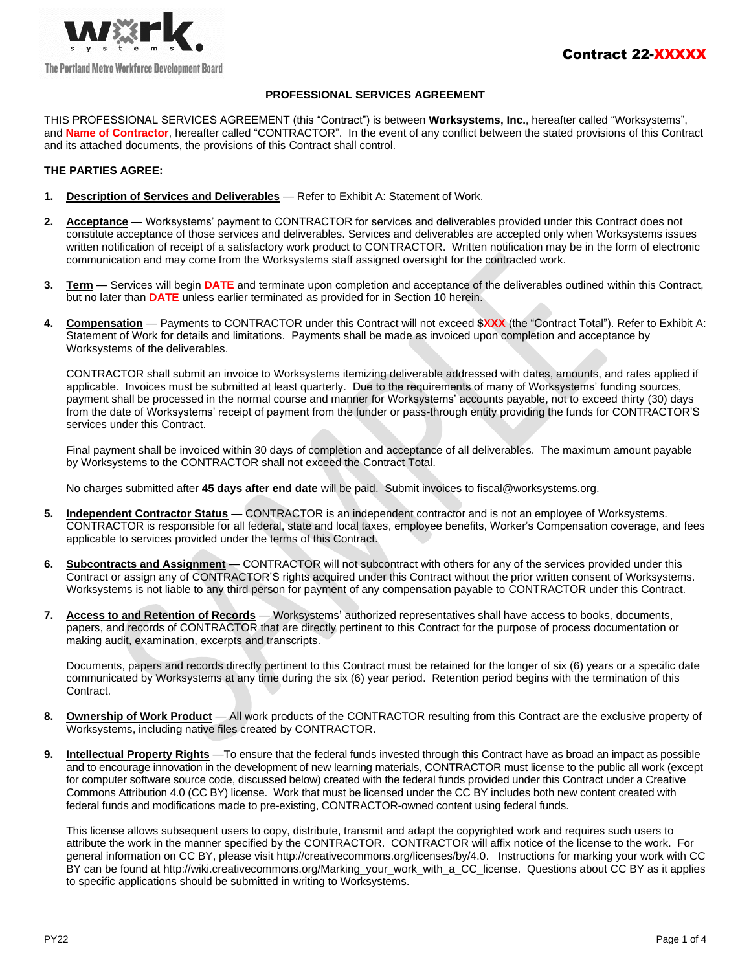

## **PROFESSIONAL SERVICES AGREEMENT**

THIS PROFESSIONAL SERVICES AGREEMENT (this "Contract") is between **Worksystems, Inc.**, hereafter called "Worksystems", and **Name of Contractor**, hereafter called "CONTRACTOR". In the event of any conflict between the stated provisions of this Contract and its attached documents, the provisions of this Contract shall control.

## **THE PARTIES AGREE:**

- **1. Description of Services and Deliverables** Refer to Exhibit A: Statement of Work.
- **2. Acceptance** Worksystems' payment to CONTRACTOR for services and deliverables provided under this Contract does not constitute acceptance of those services and deliverables. Services and deliverables are accepted only when Worksystems issues written notification of receipt of a satisfactory work product to CONTRACTOR. Written notification may be in the form of electronic communication and may come from the Worksystems staff assigned oversight for the contracted work.
- **3. Term** Services will begin **DATE** and terminate upon completion and acceptance of the deliverables outlined within this Contract, but no later than **DATE** unless earlier terminated as provided for in Section 10 herein.
- **4. Compensation** Payments to CONTRACTOR under this Contract will not exceed **\$XXX** (the "Contract Total"). Refer to Exhibit A: Statement of Work for details and limitations. Payments shall be made as invoiced upon completion and acceptance by Worksystems of the deliverables.

CONTRACTOR shall submit an invoice to Worksystems itemizing deliverable addressed with dates, amounts, and rates applied if applicable. Invoices must be submitted at least quarterly. Due to the requirements of many of Worksystems' funding sources, payment shall be processed in the normal course and manner for Worksystems' accounts payable, not to exceed thirty (30) days from the date of Worksystems' receipt of payment from the funder or pass-through entity providing the funds for CONTRACTOR'S services under this Contract.

Final payment shall be invoiced within 30 days of completion and acceptance of all deliverables. The maximum amount payable by Worksystems to the CONTRACTOR shall not exceed the Contract Total.

No charges submitted after **45 days after end date** will be paid. Submit invoices to fiscal@worksystems.org.

- **5. Independent Contractor Status** CONTRACTOR is an independent contractor and is not an employee of Worksystems. CONTRACTOR is responsible for all federal, state and local taxes, employee benefits, Worker's Compensation coverage, and fees applicable to services provided under the terms of this Contract.
- **6. Subcontracts and Assignment** CONTRACTOR will not subcontract with others for any of the services provided under this Contract or assign any of CONTRACTOR'S rights acquired under this Contract without the prior written consent of Worksystems. Worksystems is not liable to any third person for payment of any compensation payable to CONTRACTOR under this Contract.
- **7. Access to and Retention of Records** Worksystems' authorized representatives shall have access to books, documents, papers, and records of CONTRACTOR that are directly pertinent to this Contract for the purpose of process documentation or making audit, examination, excerpts and transcripts.

Documents, papers and records directly pertinent to this Contract must be retained for the longer of six (6) years or a specific date communicated by Worksystems at any time during the six (6) year period. Retention period begins with the termination of this Contract.

- **8. Ownership of Work Product** All work products of the CONTRACTOR resulting from this Contract are the exclusive property of Worksystems, including native files created by CONTRACTOR.
- **9. Intellectual Property Rights** —To ensure that the federal funds invested through this Contract have as broad an impact as possible and to encourage innovation in the development of new learning materials, CONTRACTOR must license to the public all work (except for computer software source code, discussed below) created with the federal funds provided under this Contract under a Creative Commons Attribution 4.0 (CC BY) license. Work that must be licensed under the CC BY includes both new content created with federal funds and modifications made to pre-existing, CONTRACTOR-owned content using federal funds.

This license allows subsequent users to copy, distribute, transmit and adapt the copyrighted work and requires such users to attribute the work in the manner specified by the CONTRACTOR. CONTRACTOR will affix notice of the license to the work. For general information on CC BY, please visit http://creativecommons.org/licenses/by/4.0. Instructions for marking your work with CC BY can be found at http://wiki.creativecommons.org/Marking\_your\_work\_with\_a\_CC\_license. Questions about CC BY as it applies to specific applications should be submitted in writing to Worksystems.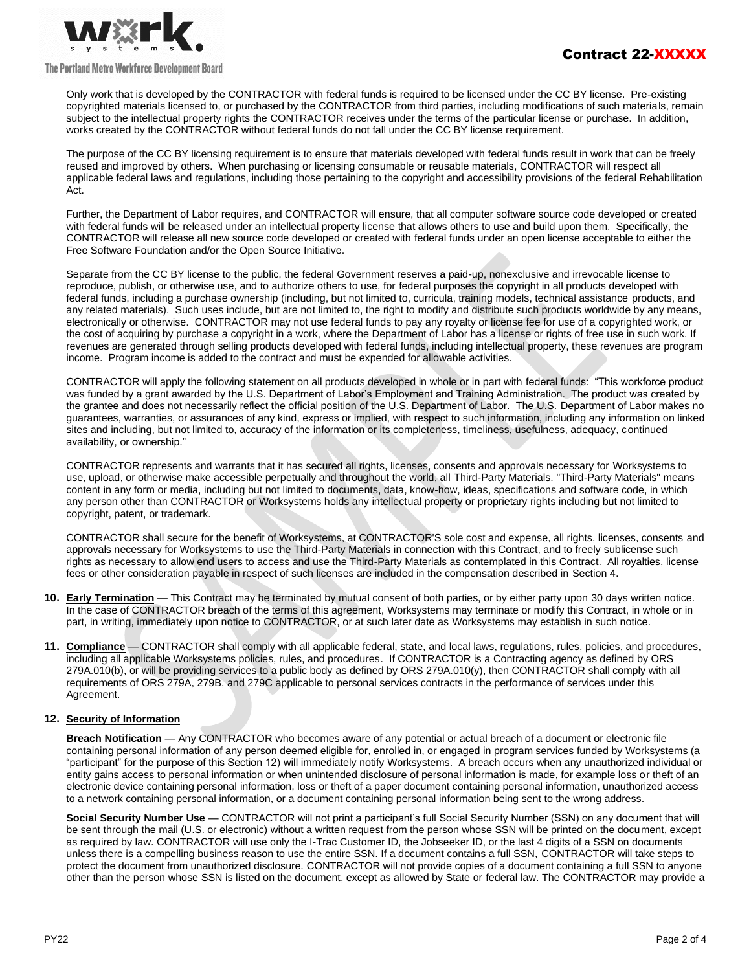

#### The Portland Metro Workforce Development Board

Only work that is developed by the CONTRACTOR with federal funds is required to be licensed under the CC BY license. Pre-existing copyrighted materials licensed to, or purchased by the CONTRACTOR from third parties, including modifications of such materials, remain subject to the intellectual property rights the CONTRACTOR receives under the terms of the particular license or purchase. In addition, works created by the CONTRACTOR without federal funds do not fall under the CC BY license requirement.

The purpose of the CC BY licensing requirement is to ensure that materials developed with federal funds result in work that can be freely reused and improved by others. When purchasing or licensing consumable or reusable materials, CONTRACTOR will respect all applicable federal laws and regulations, including those pertaining to the copyright and accessibility provisions of the federal Rehabilitation Act.

Further, the Department of Labor requires, and CONTRACTOR will ensure, that all computer software source code developed or created with federal funds will be released under an intellectual property license that allows others to use and build upon them. Specifically, the CONTRACTOR will release all new source code developed or created with federal funds under an open license acceptable to either the Free Software Foundation and/or the Open Source Initiative.

Separate from the CC BY license to the public, the federal Government reserves a paid-up, nonexclusive and irrevocable license to reproduce, publish, or otherwise use, and to authorize others to use, for federal purposes the copyright in all products developed with federal funds, including a purchase ownership (including, but not limited to, curricula, training models, technical assistance products, and any related materials). Such uses include, but are not limited to, the right to modify and distribute such products worldwide by any means, electronically or otherwise. CONTRACTOR may not use federal funds to pay any royalty or license fee for use of a copyrighted work, or the cost of acquiring by purchase a copyright in a work, where the Department of Labor has a license or rights of free use in such work. If revenues are generated through selling products developed with federal funds, including intellectual property, these revenues are program income. Program income is added to the contract and must be expended for allowable activities.

CONTRACTOR will apply the following statement on all products developed in whole or in part with federal funds: "This workforce product was funded by a grant awarded by the U.S. Department of Labor's Employment and Training Administration. The product was created by the grantee and does not necessarily reflect the official position of the U.S. Department of Labor. The U.S. Department of Labor makes no guarantees, warranties, or assurances of any kind, express or implied, with respect to such information, including any information on linked sites and including, but not limited to, accuracy of the information or its completeness, timeliness, usefulness, adequacy, continued availability, or ownership."

CONTRACTOR represents and warrants that it has secured all rights, licenses, consents and approvals necessary for Worksystems to use, upload, or otherwise make accessible perpetually and throughout the world, all Third-Party Materials. "Third-Party Materials" means content in any form or media, including but not limited to documents, data, know-how, ideas, specifications and software code, in which any person other than CONTRACTOR or Worksystems holds any intellectual property or proprietary rights including but not limited to copyright, patent, or trademark.

CONTRACTOR shall secure for the benefit of Worksystems, at CONTRACTOR'S sole cost and expense, all rights, licenses, consents and approvals necessary for Worksystems to use the Third-Party Materials in connection with this Contract, and to freely sublicense such rights as necessary to allow end users to access and use the Third-Party Materials as contemplated in this Contract. All royalties, license fees or other consideration payable in respect of such licenses are included in the compensation described in Section 4.

- **10. Early Termination** This Contract may be terminated by mutual consent of both parties, or by either party upon 30 days written notice. In the case of CONTRACTOR breach of the terms of this agreement, Worksystems may terminate or modify this Contract, in whole or in part, in writing, immediately upon notice to CONTRACTOR, or at such later date as Worksystems may establish in such notice.
- **11. Compliance** CONTRACTOR shall comply with all applicable federal, state, and local laws, regulations, rules, policies, and procedures, including all applicable Worksystems policies, rules, and procedures. If CONTRACTOR is a Contracting agency as defined by ORS 279A.010(b), or will be providing services to a public body as defined by ORS 279A.010(y), then CONTRACTOR shall comply with all requirements of ORS 279A, 279B, and 279C applicable to personal services contracts in the performance of services under this Agreement.

# **12. Security of Information**

**Breach Notification** — Any CONTRACTOR who becomes aware of any potential or actual breach of a document or electronic file containing personal information of any person deemed eligible for, enrolled in, or engaged in program services funded by Worksystems (a "participant" for the purpose of this Section 12) will immediately notify Worksystems. A breach occurs when any unauthorized individual or entity gains access to personal information or when unintended disclosure of personal information is made, for example loss or theft of an electronic device containing personal information, loss or theft of a paper document containing personal information, unauthorized access to a network containing personal information, or a document containing personal information being sent to the wrong address.

**Social Security Number Use** — CONTRACTOR will not print a participant's full Social Security Number (SSN) on any document that will be sent through the mail (U.S. or electronic) without a written request from the person whose SSN will be printed on the document, except as required by law. CONTRACTOR will use only the I-Trac Customer ID, the Jobseeker ID, or the last 4 digits of a SSN on documents unless there is a compelling business reason to use the entire SSN. If a document contains a full SSN, CONTRACTOR will take steps to protect the document from unauthorized disclosure. CONTRACTOR will not provide copies of a document containing a full SSN to anyone other than the person whose SSN is listed on the document, except as allowed by State or federal law. The CONTRACTOR may provide a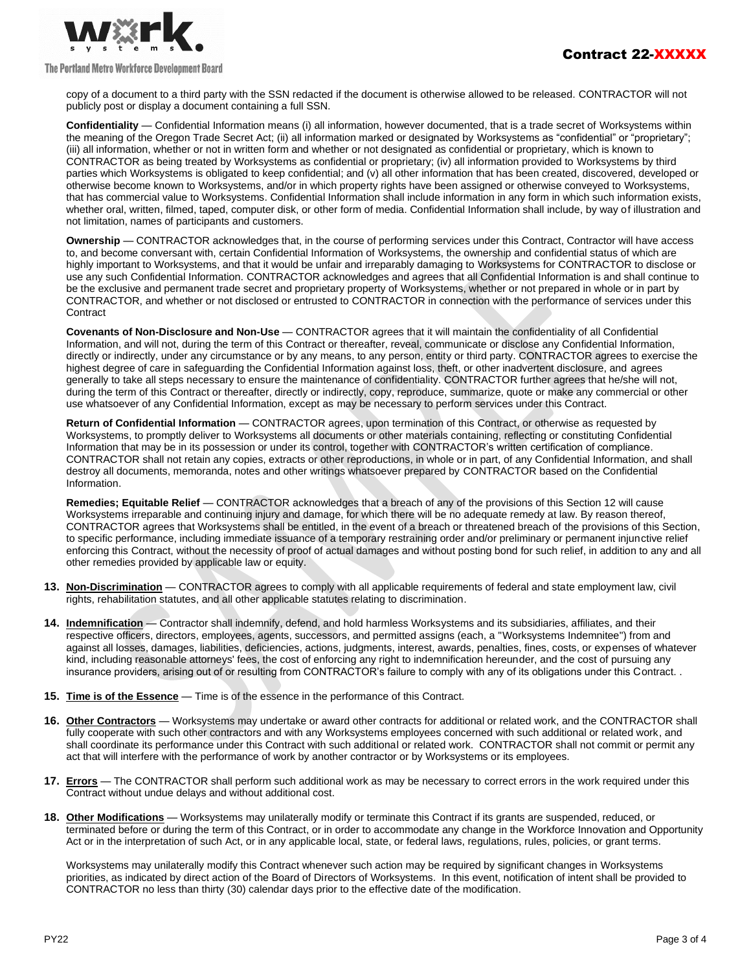

### The Portland Metro Workforce Development Board

copy of a document to a third party with the SSN redacted if the document is otherwise allowed to be released. CONTRACTOR will not publicly post or display a document containing a full SSN.

**Confidentiality** — Confidential Information means (i) all information, however documented, that is a trade secret of Worksystems within the meaning of the Oregon Trade Secret Act; (ii) all information marked or designated by Worksystems as "confidential" or "proprietary"; (iii) all information, whether or not in written form and whether or not designated as confidential or proprietary, which is known to CONTRACTOR as being treated by Worksystems as confidential or proprietary; (iv) all information provided to Worksystems by third parties which Worksystems is obligated to keep confidential; and (v) all other information that has been created, discovered, developed or otherwise become known to Worksystems, and/or in which property rights have been assigned or otherwise conveyed to Worksystems, that has commercial value to Worksystems. Confidential Information shall include information in any form in which such information exists, whether oral, written, filmed, taped, computer disk, or other form of media. Confidential Information shall include, by way of illustration and not limitation, names of participants and customers.

**Ownership** — CONTRACTOR acknowledges that, in the course of performing services under this Contract, Contractor will have access to, and become conversant with, certain Confidential Information of Worksystems, the ownership and confidential status of which are highly important to Worksystems, and that it would be unfair and irreparably damaging to Worksystems for CONTRACTOR to disclose or use any such Confidential Information. CONTRACTOR acknowledges and agrees that all Confidential Information is and shall continue to be the exclusive and permanent trade secret and proprietary property of Worksystems, whether or not prepared in whole or in part by CONTRACTOR, and whether or not disclosed or entrusted to CONTRACTOR in connection with the performance of services under this **Contract** 

**Covenants of Non-Disclosure and Non-Use** — CONTRACTOR agrees that it will maintain the confidentiality of all Confidential Information, and will not, during the term of this Contract or thereafter, reveal, communicate or disclose any Confidential Information, directly or indirectly, under any circumstance or by any means, to any person, entity or third party. CONTRACTOR agrees to exercise the highest degree of care in safeguarding the Confidential Information against loss, theft, or other inadvertent disclosure, and agrees generally to take all steps necessary to ensure the maintenance of confidentiality. CONTRACTOR further agrees that he/she will not, during the term of this Contract or thereafter, directly or indirectly, copy, reproduce, summarize, quote or make any commercial or other use whatsoever of any Confidential Information, except as may be necessary to perform services under this Contract.

**Return of Confidential Information** — CONTRACTOR agrees, upon termination of this Contract, or otherwise as requested by Worksystems, to promptly deliver to Worksystems all documents or other materials containing, reflecting or constituting Confidential Information that may be in its possession or under its control, together with CONTRACTOR's written certification of compliance. CONTRACTOR shall not retain any copies, extracts or other reproductions, in whole or in part, of any Confidential Information, and shall destroy all documents, memoranda, notes and other writings whatsoever prepared by CONTRACTOR based on the Confidential Information.

**Remedies; Equitable Relief** — CONTRACTOR acknowledges that a breach of any of the provisions of this Section 12 will cause Worksystems irreparable and continuing injury and damage, for which there will be no adequate remedy at law. By reason thereof, CONTRACTOR agrees that Worksystems shall be entitled, in the event of a breach or threatened breach of the provisions of this Section, to specific performance, including immediate issuance of a temporary restraining order and/or preliminary or permanent injunctive relief enforcing this Contract, without the necessity of proof of actual damages and without posting bond for such relief, in addition to any and all other remedies provided by applicable law or equity.

- **13. Non-Discrimination** CONTRACTOR agrees to comply with all applicable requirements of federal and state employment law, civil rights, rehabilitation statutes, and all other applicable statutes relating to discrimination.
- **14. Indemnification** Contractor shall indemnify, defend, and hold harmless Worksystems and its subsidiaries, affiliates, and their respective officers, directors, employees, agents, successors, and permitted assigns (each, a "Worksystems Indemnitee") from and against all losses, damages, liabilities, deficiencies, actions, judgments, interest, awards, penalties, fines, costs, or expenses of whatever kind, including reasonable attorneys' fees, the cost of enforcing any right to indemnification hereunder, and the cost of pursuing any insurance providers, arising out of or resulting from CONTRACTOR's failure to comply with any of its obligations under this Contract. .
- **15. Time is of the Essence** Time is of the essence in the performance of this Contract.
- **16. Other Contractors** Worksystems may undertake or award other contracts for additional or related work, and the CONTRACTOR shall fully cooperate with such other contractors and with any Worksystems employees concerned with such additional or related work, and shall coordinate its performance under this Contract with such additional or related work. CONTRACTOR shall not commit or permit any act that will interfere with the performance of work by another contractor or by Worksystems or its employees.
- **17. Errors** The CONTRACTOR shall perform such additional work as may be necessary to correct errors in the work required under this Contract without undue delays and without additional cost.
- **18. Other Modifications** Worksystems may unilaterally modify or terminate this Contract if its grants are suspended, reduced, or terminated before or during the term of this Contract, or in order to accommodate any change in the Workforce Innovation and Opportunity Act or in the interpretation of such Act, or in any applicable local, state, or federal laws, regulations, rules, policies, or grant terms.

Worksystems may unilaterally modify this Contract whenever such action may be required by significant changes in Worksystems priorities, as indicated by direct action of the Board of Directors of Worksystems. In this event, notification of intent shall be provided to CONTRACTOR no less than thirty (30) calendar days prior to the effective date of the modification.